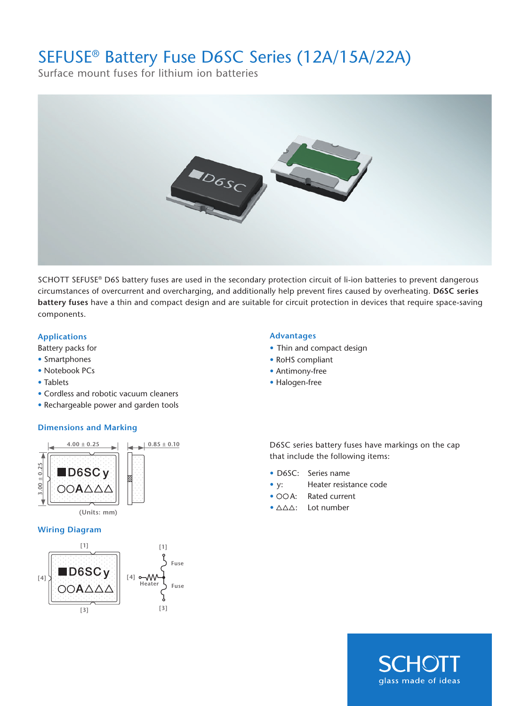## SEFUSE® Battery Fuse D6SC Series (12A/15A/22A)

Surface mount fuses for lithium ion batteries



SCHOTT SEFUSE® D6S battery fuses are used in the secondary protection circuit of li-ion batteries to prevent dangerous circumstances of overcurrent and overcharging, and additionally help prevent fires caused by overheating. **D6SC series battery fuses** have a thin and compact design and are suitable for circuit protection in devices that require space-saving components.

## **Applications Advantages**

Battery packs for

- Smartphones
- Notebook PCs
- Tablets
- Cordless and robotic vacuum cleaners
- Rechargeable power and garden tools

## **Dimensions and Marking**



## **Wiring Diagram**



- Thin and compact design
- RoHS compliant
- Antimony-free
- Halogen-free

D6SC series battery fuses have markings on the cap that include the following items:

- D6SC: Series name
- y: Heater resistance code
- OOA: Rated current
- $\bullet$   $\triangle \triangle \triangle$ : Lot number